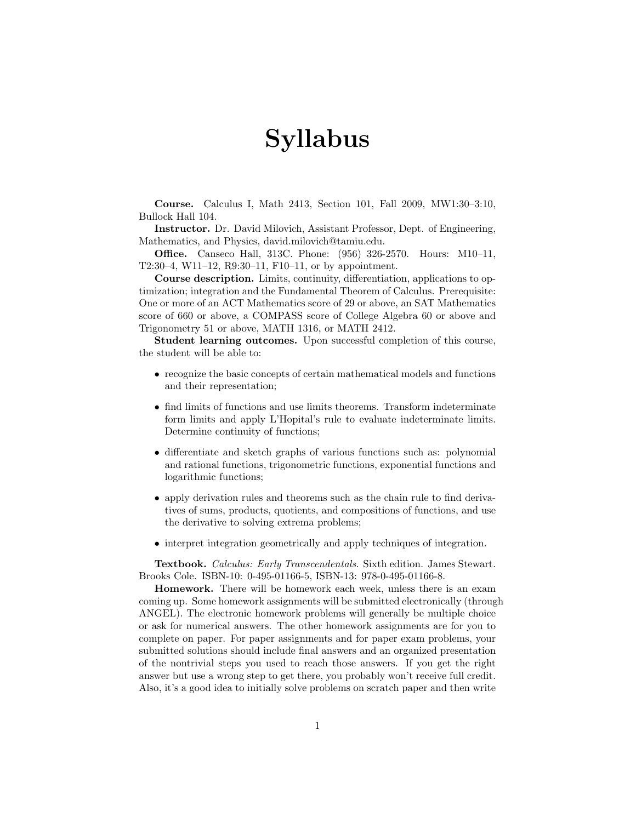## Syllabus

Course. Calculus I, Math 2413, Section 101, Fall 2009, MW1:30–3:10, Bullock Hall 104.

Instructor. Dr. David Milovich, Assistant Professor, Dept. of Engineering, Mathematics, and Physics, david.milovich@tamiu.edu.

Office. Canseco Hall, 313C. Phone: (956) 326-2570. Hours: M10–11, T2:30–4, W11–12, R9:30–11, F10–11, or by appointment.

Course description. Limits, continuity, differentiation, applications to optimization; integration and the Fundamental Theorem of Calculus. Prerequisite: One or more of an ACT Mathematics score of 29 or above, an SAT Mathematics score of 660 or above, a COMPASS score of College Algebra 60 or above and Trigonometry 51 or above, MATH 1316, or MATH 2412.

Student learning outcomes. Upon successful completion of this course, the student will be able to:

- recognize the basic concepts of certain mathematical models and functions and their representation;
- find limits of functions and use limits theorems. Transform indeterminate form limits and apply L'Hopital's rule to evaluate indeterminate limits. Determine continuity of functions;
- differentiate and sketch graphs of various functions such as: polynomial and rational functions, trigonometric functions, exponential functions and logarithmic functions;
- apply derivation rules and theorems such as the chain rule to find derivatives of sums, products, quotients, and compositions of functions, and use the derivative to solving extrema problems;
- interpret integration geometrically and apply techniques of integration.

Textbook. Calculus: Early Transcendentals. Sixth edition. James Stewart. Brooks Cole. ISBN-10: 0-495-01166-5, ISBN-13: 978-0-495-01166-8.

Homework. There will be homework each week, unless there is an exam coming up. Some homework assignments will be submitted electronically (through ANGEL). The electronic homework problems will generally be multiple choice or ask for numerical answers. The other homework assignments are for you to complete on paper. For paper assignments and for paper exam problems, your submitted solutions should include final answers and an organized presentation of the nontrivial steps you used to reach those answers. If you get the right answer but use a wrong step to get there, you probably won't receive full credit. Also, it's a good idea to initially solve problems on scratch paper and then write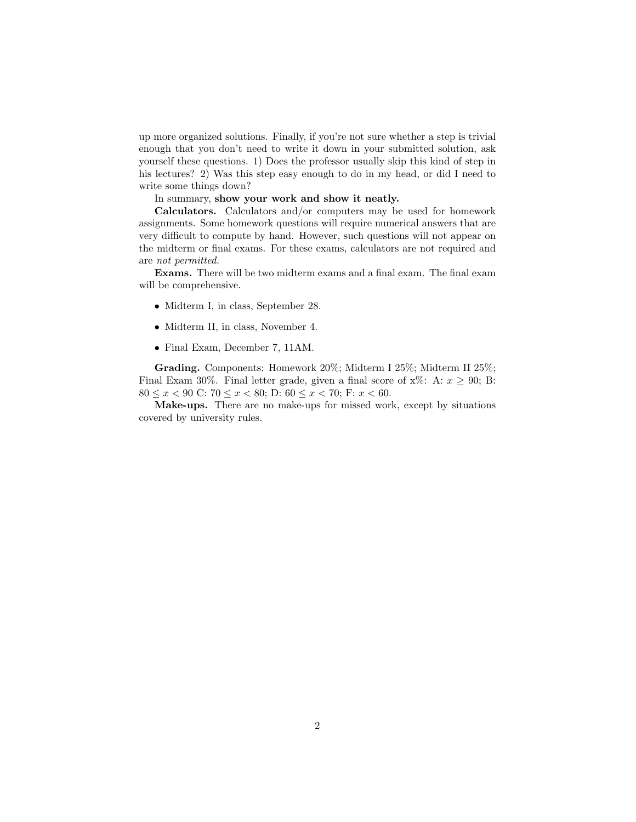up more organized solutions. Finally, if you're not sure whether a step is trivial enough that you don't need to write it down in your submitted solution, ask yourself these questions. 1) Does the professor usually skip this kind of step in his lectures? 2) Was this step easy enough to do in my head, or did I need to write some things down?

## In summary, show your work and show it neatly.

Calculators. Calculators and/or computers may be used for homework assignments. Some homework questions will require numerical answers that are very difficult to compute by hand. However, such questions will not appear on the midterm or final exams. For these exams, calculators are not required and are not permitted.

Exams. There will be two midterm exams and a final exam. The final exam will be comprehensive.

- Midterm I, in class, September 28.
- Midterm II, in class, November 4.
- Final Exam, December 7, 11AM.

Grading. Components: Homework 20%; Midterm I 25%; Midterm II 25%; Final Exam 30%. Final letter grade, given a final score of  $x\%$ : A:  $x \ge 90$ ; B: 80  $\leq x < 90$  C:  $70 \leq x < 80$ ; D:  $60 \leq x < 70$ ; F:  $x < 60$ .

Make-ups. There are no make-ups for missed work, except by situations covered by university rules.